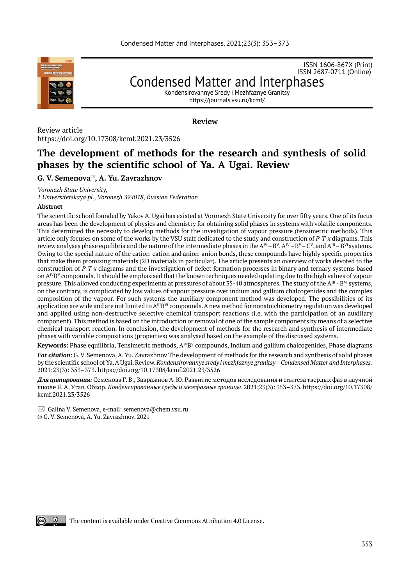

ISSN 1606-867Х (Print) ISSN 2687-0711 (Online)

Condensed Matter and Interphases Kondensirovannye Sredy i Mezhfaznye Granitsy

https://journals.vsu.ru/kcmf/

**Review**

Review article https://doi.org/10.17308/kcmf.2021.23/3526

# **The development of methods for the research and synthesis of solid phases by the scientific school of Ya. A Ugai. Review**

# **G. V. Semenova, A. Yu. Zavrazhnov \***

*Voronezh State University,* 

*1 Universitetskaya pl., Voronezh 394018, Russian Federation*

### **Abstract**

The scientific school founded by Yakov A. Ugai has existed at Voronezh State University for over fifty years. One of its focus areas has been the development of physics and chemistry for obtaining solid phases in systems with volatile components. This determined the necessity to develop methods for the investigation of vapour pressure (tensimetric methods). This article only focuses on some of the works by the VSU staff dedicated to the study and construction of *P-T-x* diagrams. This review analyses phase equilibria and the nature of the intermediate phases in the  $A^W - B^V$ ,  $A^W - B^V - C^V$ , and  $A^W - B^W$  systems. Owing to the special nature of the cation-cation and anion-anion bonds, these compounds have highly specific properties that make them promising materials (2D materials in particular). The article presents an overview of works devoted to the construction of *P-T-x* diagrams and the investigation of defect formation processes in binary and ternary systems based on  $A^{IV}B^{V}$  compounds. It should be emphasised that the known techniques needed updating due to the high values of vapour pressure. This allowed conducting experiments at pressures of about 35-40 atmospheres. The study of the A<sup>III</sup> - B<sup>VI</sup> systems, on the contrary, is complicated by low values of vapour pressure over indium and gallium chalcogenides and the complex composition of the vapour. For such systems the auxiliary component method was developed. The possibilities of its application are wide and are not limited to  $A^{III}B^{VI}$  compounds. A new method for nonstoichiometry regulation was developed and applied using non-destructive selective chemical transport reactions (i.e. with the participation of an auxiliary component). This method is based on the introduction or removal of one of the sample components by means of a selective chemical transport reaction. In conclusion, the development of methods for the research and synthesis of intermediate phases with variable compositions (properties) was analysed based on the example of the discussed systems.

Keywords: Phase equilibria, Tensimetric methods, A<sup>IV</sup>B<sup>V</sup> compounds, Indium and gallium chalcogenides, Phase diagrams

*For citation:* G. V. Semenova, A. Yu. Zavrazhnov The development of methods for the research and synthesis of solid phases by the scientific school of Ya. A Ugai. Review. *Kondensirovannye sredy i mezhfaznye granitsy = Condensed Matter and Interphases.* 2021;23(3): 353–373. https://doi.org/10.17308/kcmf.2021.23/3526

*Для цитирования:* Семенова Г. В., Завражнов А. Ю. Развитие методов исследования и синтеза твердых фаз в научной школе Я. А. Угая. Обзор. *Конденсированные среды и межфазные границы*. 2021;23(3): 353–373. https://doi.org/10.17308/ kcmf.2021.23/3526

© G. V. Semenova, A. Yu. Zavrazhnov, 2021



The content is available under Creative Commons Attribution 4.0 License.

 $\boxtimes$  Galina V. Semenova, e-mail: semenova@chem.vsu.ru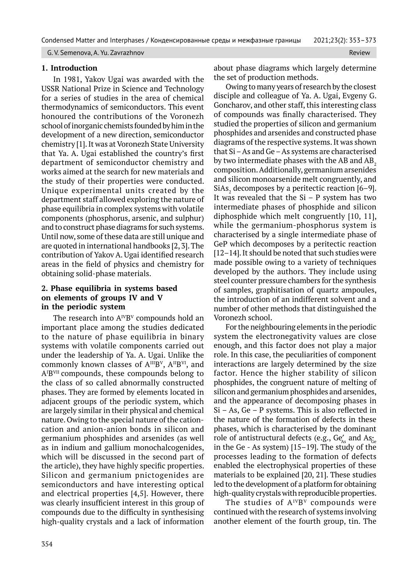G. V. Semenova, A. Yu. Zavrazhnov Review Review Review Review Review Review Review Review Review Review Review

### **1. Introduction**

In 1981, Yakov Ugai was awarded with the USSR National Prize in Science and Technology for a series of studies in the area of chemical thermodynamics of semiconductors. This event honoured the contributions of the Voronezh school of inorganic chemists founded by him in the development of a new direction, semiconductor chemistry [1]. It was at Voronezh State University that Ya. A. Ugai established the country's first department of semiconductor chemistry and works aimed at the search for new materials and the study of their properties were conducted. Unique experimental units created by the department staff allowed exploring the nature of phase equilibria in complex systems with volatile components (phosphorus, arsenic, and sulphur) and to construct phase diagrams for such systems. Until now, some of these data are still unique and are quoted in international handbooks [2, 3]. The contribution of Yakov A. Ugai identified research areas in the field of physics and chemistry for obtaining solid-phase materials.

# **2. Phase equilibria in systems based on elements of groups IV and V in the periodic system**

The research into  $A^{IV}B^{V}$  compounds hold an important place among the studies dedicated to the nature of phase equilibria in binary systems with volatile components carried out under the leadership of Ya. A. Ugai. Unlike the commonly known classes of A<sup>III</sup>B<sup>V</sup>, A<sup>II</sup>B<sup>VI</sup>, and A<sup>IBVII</sup> compounds, these compounds belong to the class of so called abnormally constructed phases. They are formed by elements located in adjacent groups of the periodic system, which are largely similar in their physical and chemical nature. Owing to the special nature of the cationcation and anion-anion bonds in silicon and germanium phosphides and arsenides (as well as in indium and gallium monochalcogenides, which will be discussed in the second part of the article), they have highly specific properties. Silicon and germanium pnictogenides are semiconductors and have interesting optical and electrical properties [4,5]. However, there was clearly insufficient interest in this group of compounds due to the difficulty in synthesising high-quality crystals and a lack of information

about phase diagrams which largely determine the set of production methods.

Owing to many years of research by the closest disciple and colleague of Ya. A. Ugai, Evgeny G. Goncharov, and other staff, this interesting class of compounds was finally characterised. They studied the properties of silicon and germanium phosphides and arsenides and constructed phase diagrams of the respective systems. It was shown that Si – As and Ge – As systems are characterised by two intermediate phases with the AB and  $AB<sub>2</sub>$ . composition. Additionally, germanium arsenides and silicon monoarsenide melt congruently, and SiAs<sub>2</sub> decomposes by a peritectic reaction [6–9]. It was revealed that the  $Si - P$  system has two intermediate phases of phosphide and silicon diphosphide which melt congruently [10, 11], while the germanium-phosphorus system is characterised by a single intermediate phase of GeP which decomposes by a peritectic reaction [12–14]. It should be noted that such studies were made possible owing to a variety of techniques developed by the authors. They include using steel counter pressure chambers for the synthesis of samples, graphitisation of quartz ampoules, the introduction of an indifferent solvent and a number of other methods that distinguished the Voronezh school.

For the neighbouring elements in the periodic system the electronegativity values are close enough, and this factor does not play a major role. In this case, the peculiarities of component interactions are largely determined by the size factor. Hence the higher stability of silicon phosphides, the congruent nature of melting of silicon and germanium phosphides and arsenides, and the appearance of decomposing phases in  $Si - As$ ,  $Ge - P$  systems. This is also reflected in the nature of the formation of defects in these phases, which is characterised by the dominant role of antistructural defects (e.g., Ge<sub>As</sub> and As<sub>Ge</sub> in the Ge - As system) [15–19]. The study of the processes leading to the formation of defects enabled the electrophysical properties of these materials to be explained [20, 21]. These studies led to the development of a platform for obtaining high-quality crystals with reproducible properties.

The studies of  $A^{IV}B^{V}$  compounds were continued with the research of systems involving another element of the fourth group, tin. The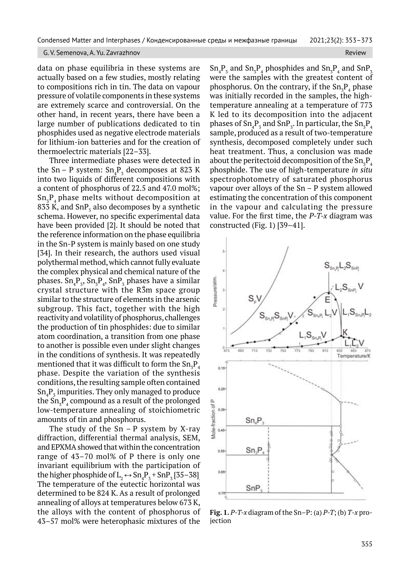data on phase equilibria in these systems are actually based on a few studies, mostly relating to compositions rich in tin. The data on vapour pressure of volatile components in these systems are extremely scarce and controversial. On the other hand, in recent years, there have been a large number of publications dedicated to tin phosphides used as negative electrode materials for lithium-ion batteries and for the creation of thermoelectric materials [22–33].

Three intermediate phases were detected in the Sn – P system:  $Sn_4P_3$  decomposes at 823 K into two liquids of different compositions with a content of phosphorus of 22.5 and 47.0 mol%;  $\mathrm{Sn}_{3}\mathrm{P}_{4}$  phase melts without decomposition at 833 K, and SnP<sub>3</sub> also decomposes by a synthetic schema. However, no specific experimental data have been provided [2]. It should be noted that the reference information on the phase equilibria in the Sn-P system is mainly based on one study [34]. In their research, the authors used visual polythermal method, which cannot fully evaluate the complex physical and chemical nature of the phases.  $\text{Sn}_{4}\text{P}_{3}$ ,  $\text{Sn}_{3}\text{P}_{4}$ ,  $\text{Sn}\text{P}_{3}$  phases have a similar crystal structure with the  $R\bar{3}m$  space group similar to the structure of elements in the arsenic subgroup. This fact, together with the high reactivity and volatility of phosphorus, challenges the production of tin phosphides: due to similar atom coordination, a transition from one phase to another is possible even under slight changes in the conditions of synthesis. It was repeatedly mentioned that it was difficult to form the  $\mathrm{Sn}_{\mathrm{s}}\mathrm{P}_{\mathrm{4}}$ phase. Despite the variation of the synthesis conditions, the resulting sample often contained  $\mathsf{Sn}_{4}\mathsf{P}_{\mathsf{3}}$  impurities. They only managed to produce the  $\mathrm{Sn}_{3}\mathrm{P}_{4}$  compound as a result of the prolonged low-temperature annealing of stoichiometric amounts of tin and phosphorus.

The study of the  $Sn - P$  system by X-ray diffraction, differential thermal analysis, SEM, and EPXMA showed that within the concentration range of 43–70 mol% of P there is only one invariant equilibrium with the participation of the higher phosphide of  $L_2 \leftrightarrow Sn_4P_3 + SnP_3$  [35–38] The temperature of the eutectic horizontal was determined to be 824 K. As a result of prolonged annealing of alloys at temperatures below 673 K, the alloys with the content of phosphorus of 43–57 mol% were heterophasic mixtures of the

 $\mathrm{Sn}_{4}\mathrm{P}_{3}$  and  $\mathrm{Sn}_{3}\mathrm{P}_{4}$  phosphides and  $\mathrm{Sn}_{3}\mathrm{P}_{4}$  and  $\mathrm{Sn}\mathrm{P}_{3}$ were the samples with the greatest content of phosphorus. On the contrary, if the  $Sn_{3}P_{4}$  phase was initially recorded in the samples, the hightemperature annealing at a temperature of 773 K led to its decomposition into the adjacent phases of  $\mathrm{Sn}_4\mathrm{P}_3$  and  $\mathrm{SnP}_3$ . In particular, the  $\mathrm{Sn}_3\mathrm{P}_4$ sample, produced as a result of two-temperature synthesis, decomposed completely under such heat treatment. Thus, a conclusion was made about the peritectoid decomposition of the  $\mathrm{Sn}_{\mathrm{s}}\mathrm{P}_{\mathrm{4}}$ phosphide. The use of high-temperature *in situ* spectrophotometry of saturated phosphorus vapour over alloys of the Sn – P system allowed estimating the concentration of this component in the vapour and calculating the pressure value. For the first time, the *P-T-x* diagram was constructed (Fig. 1) [39–41].



**Fig. 1.** *P-T-x* diagram of the Sn–P: (a) *P-T*; (b) *Т‑х* projection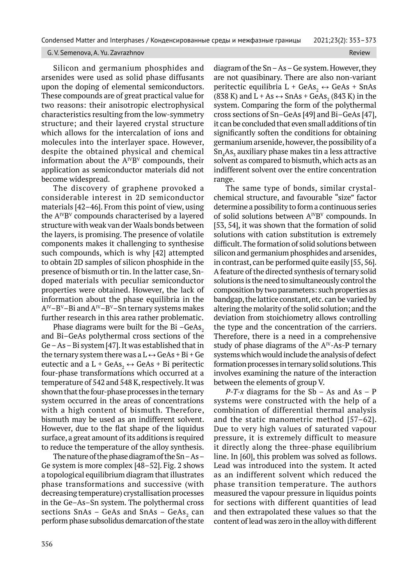Silicon and germanium phosphides and arsenides were used as solid phase diffusants upon the doping of elemental semiconductors. These compounds are of great practical value for two reasons: their anisotropic electrophysical characteristics resulting from the low-symmetry structure; and their layered crystal structure which allows for the intercalation of ions and molecules into the interlayer space. However, despite the obtained physical and chemical information about the  $A^{IV}B^{V}$  compounds, their application as semiconductor materials did not become widespread.

The discovery of graphene provoked a considerable interest in 2D semiconductor materials [42–46]. From this point of view, using the  $A^{IV}B^{V}$  compounds characterised by a layered structure with weak van der Waals bonds between the layers, is promising. The presence of volatile components makes it challenging to synthesise such compounds, which is why [42] attempted to obtain 2D samples of silicon phosphide in the presence of bismuth or tin. In the latter case, Sndoped materials with peculiar semiconductor properties were obtained. However, the lack of information about the phase equilibria in the  $A^{IV}-B^{V}-Bi$  and  $A^{IV}-B^{V}-Sn$  ternary systems makes further research in this area rather problematic.

Phase diagrams were built for the Bi $-GeAs$ , and Bi–GeAs polythermal cross sections of the Ge – As – Bi system [47]. It was established that in the ternary system there was a  $L \leftrightarrow$  GeAs + Bi + Ge eutectic and a L + GeAs,  $\leftrightarrow$  GeAs + Bi peritectic four-phase transformations which occurred at a temperature of 542 and 548 K, respectively. It was shown that the four-phase processes in the ternary system occurred in the areas of concentrations with a high content of bismuth. Therefore, bismuth may be used as an indifferent solvent. However, due to the flat shape of the liquidus surface, a great amount of its additions is required to reduce the temperature of the alloy synthesis.

The nature of the phase diagram of the Sn – As – Ge system is more complex [48–52]. Fig. 2 shows a topological equilibrium diagram that illustrates phase transformations and successive (with decreasing temperature) crystallisation processes in the Ge–As–Sn system. The polythermal cross sections SnAs – GeAs and SnAs – GeAs $_{\textrm{\tiny{2}}}$  can perform phase subsolidus demarcation of the state

diagram of the Sn – As – Ge system. However, they are not quasibinary. There are also non-variant peritectic equilibria L + GeAs,  $\leftrightarrow$  GeAs + SnAs (838 K) and  $L + As \leftrightarrow ShAs + GeAs_2$  (843 K) in the system. Comparing the form of the polythermal cross sections of Sn–GeAs [49] and Bi–GeAs [47], it can be concluded that even small additions of tin significantly soften the conditions for obtaining germanium arsenide, however, the possibility of a  $\mathrm{Sn}_{4}\mathrm{As}_{3}$  auxiliary phase makes tin a less attractive solvent as compared to bismuth, which acts as an indifferent solvent over the entire concentration range.

The same type of bonds, similar crystalchemical structure, and favourable "size" factor determine a possibility to form a continuous series of solid solutions between  $A^{IV}B^{V}$  compounds. In [53, 54], it was shown that the formation of solid solutions with cation substitution is extremely difficult. The formation of solid solutions between silicon and germanium phosphides and arsenides, in contrast, can be performed quite easily [55, 56]. A feature of the directed synthesis of ternary solid solutions is the need to simultaneously control the composition by two parameters: such properties as bandgap, the lattice constant, etc. can be varied by altering the molarity of the solid solution; and the deviation from stoichiometry allows controlling the type and the concentration of the carriers. Therefore, there is a need in a comprehensive study of phase diagrams of the  $A^{IV}-As-P$  ternary systems which would include the analysis of defect formation processes in ternary solid solutions. This involves examining the nature of the interaction between the elements of group V.

*P-T-x* diagrams for the Sb – As and As –  $P$ systems were constructed with the help of a combination of differential thermal analysis and the static manometric method [57–62]. Due to very high values of saturated vapour pressure, it is extremely difficult to measure it directly along the three-phase equilibrium line. In [60], this problem was solved as follows. Lead was introduced into the system. It acted as an indifferent solvent which reduced the phase transition temperature. The authors measured the vapour pressure in liquidus points for sections with different quantities of lead and then extrapolated these values so that the content of lead was zero in the alloy with different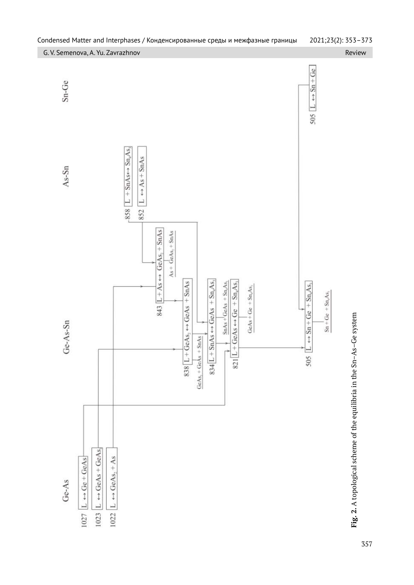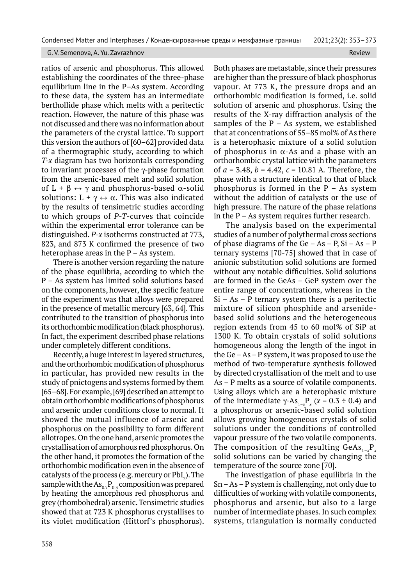ratios of arsenic and phosphorus. This allowed establishing the coordinates of the three-phase equilibrium line in the P–As system. According to these data, the system has an intermediate berthollide phase which melts with a peritectic reaction. However, the nature of this phase was not discussed and there was no information about the parameters of the crystal lattice. To support this version the authors of [60–62] provided data of a thermographic study, according to which *T-x* diagram has two horizontals corresponding to invariant processes of the  $\gamma$ -phase formation from the arsenic-based melt and solid solution of  $L + \beta \leftrightarrow \gamma$  and phosphorus-based  $\alpha$ -solid solutions:  $L + \gamma \leftrightarrow \alpha$ . This was also indicated by the results of tensimetric studies according to which groups of *P-T*-curves that coincide within the experimental error tolerance can be distinguished. *P-x* isotherms constructed at 773, 823, and 873 K confirmed the presence of two heterophase areas in the  $P - As$  system.

There is another version regarding the nature of the phase equilibria, according to which the P – As system has limited solid solutions based on the components, however, the specific feature of the experiment was that alloys were prepared in the presence of metallic mercury [63, 64]. This contributed to the transition of phosphorus into its orthorhombic modification (black phosphorus). In fact, the experiment described phase relations under completely different conditions.

Recently, a huge interest in layered structures, and the orthorhombic modification of phosphorus in particular, has provided new results in the study of pnictogens and systems formed by them [65–68]. For example, [69] described an attempt to obtain orthorhombic modifications of phosphorus and arsenic under conditions close to normal. It showed the mutual influence of arsenic and phosphorus on the possibility to form different allotropes. On the one hand, arsenic promotes the crystallisation of amorphous red phosphorus. On the other hand, it promotes the formation of the orthorhombic modification even in the absence of catalysts of the process (e.g. mercury or  ${\rm PbI}_2$ ). The sample with the  $\text{As}_{0.7}\text{P}_{0.3}$  composition was prepared by heating the amorphous red phosphorus and grey (rhombohedral) arsenic. Tensimetric studies showed that at 723 K phosphorus crystallises to its violet modification (Hittorf's phosphorus).

Both phases are metastable, since their pressures are higher than the pressure of black phosphorus vapour. At 773 K, the pressure drops and an orthorhombic modification is formed, i.e. solid solution of arsenic and phosphorus. Using the results of the X-ray diffraction analysis of the samples of the  $P - As$  system, we established that at concentrations of 55–85 mol% of As there is a heterophasic mixture of a solid solution of phosphorus in  $\alpha$ -As and a phase with an orthorhombic crystal lattice with the parameters of *а* = 3.48, *b* = 4.42, *с =* 10.81 А*.* Therefore, the phase with a structure identical to that of black phosphorus is formed in the  $P - As$  system without the addition of catalysts or the use of high pressure. The nature of the phase relations in the P – As system requires further research.

The analysis based on the experimental studies of a number of polythermal cross sections of phase diagrams of the  $Ge - As - P$ ,  $Si - As - P$ ternary systems [70-75] showed that in case of anionic substitution solid solutions are formed without any notable difficulties. Solid solutions are formed in the GeAs – GeP system over the entire range of concentrations, whereas in the  $Si - As - P$  ternary system there is a peritectic mixture of silicon phosphide and arsenidebased solid solutions and the heterogeneous region extends from 45 to 60 mol% of SiP at 1300 K. To obtain crystals of solid solutions homogeneous along the length of the ingot in the Ge – As – P system, it was proposed to use the method of two-temperature synthesis followed by directed crystallisation of the melt and to use As – P melts as a source of volatile components. Using alloys which are a heterophasic mixture of the intermediate  $\gamma$ -As<sub>1-x</sub>P<sub>x</sub> ( $x$  = 0.3 ÷ 0.4) and a phosphorus or arsenic-based solid solution allows growing homogeneous crystals of solid solutions under the conditions of controlled vapour pressure of the two volatile components. The composition of the resulting GeAs $_{1-x}\rm{P}_{_{\lambda}}$ solid solutions can be varied by changing the temperature of the source zone [70].

The investigation of phase equilibria in the Sn – As – Р system is challenging, not only due to difficulties of working with volatile components, phosphorus and arsenic, but also to a large number of intermediate phases. In such complex systems, triangulation is normally conducted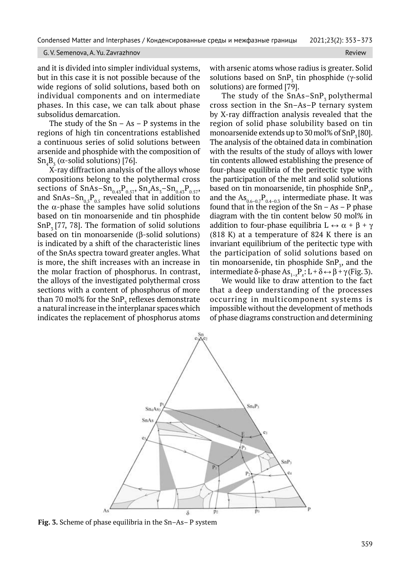### G. V. Semenova, A. Yu. Zavrazhnov Review Review Review Review Review Review Review Review Review

and it is divided into simpler individual systems, but in this case it is not possible because of the wide regions of solid solutions, based both on individual components and on intermediate phases. In this case, we can talk about phase subsolidus demarcation.

The study of the  $Sn - As - P$  systems in the regions of high tin concentrations established a continuous series of solid solutions between arsenide and phosphide with the composition of Sn<sub>4</sub>B<sub>3</sub> ( $\alpha$ -solid solutions) [76].

X-ray diffraction analysis of the alloys whose compositions belong to the polythermal cross sections of SnAs–S $n_{0.43}P_{0.57}$ , Sn<sub>4</sub>As<sub>3</sub>–Sn<sub>0.43</sub>P<sub>0.57</sub>, and SnAs–S $n_{0.5}P_{0.5}$  revealed that in addition to the  $\alpha$ -phase the samples have solid solutions based on tin monoarsenide and tin phosphide SnP<sub>z</sub> [77, 78]. The formation of solid solutions based on tin monoarsenide  $(\beta$ -solid solutions) is indicated by a shift of the characteristic lines of the SnAs spectra toward greater angles. What is more, the shift increases with an increase in the molar fraction of phosphorus. In contrast, the alloys of the investigated polythermal cross sections with a content of phosphorus of more than 70 mol% for the SnP<sub>3</sub> reflexes demonstrate a natural increase in the interplanar spaces which indicates the replacement of phosphorus atoms

with arsenic atoms whose radius is greater. Solid solutions based on  $\text{SnP}_3$  tin phosphide ( $\gamma$ -solid solutions) are formed [79].

The study of the  $SnAs-SnP_3$  polythermal cross section in the Sn–As–P ternary system by X-ray diffraction analysis revealed that the region of solid phase solubility based on tin monoarsenide extends up to 30 mol% of  $SnP<sub>z</sub>[80]$ . The analysis of the obtained data in combination with the results of the study of alloys with lower tin contents allowed establishing the presence of four-phase equilibria of the peritectic type with the participation of the melt and solid solutions based on tin monoarsenide, tin phosphide SnP<sub>3</sub>, and the  $\text{As}_{0.6-0.7}P_{0.4-0.3}$  intermediate phase. It was found that in the region of the  $Sn - As - P$  phase diagram with the tin content below 50 mol% in addition to four-phase equilibria  $L \leftrightarrow \alpha + \beta + \gamma$ (818 К) at a temperature of 824 K there is an invariant equilibrium of the peritectic type with the participation of solid solutions based on tin monoarsenide, tin phosphide  $\text{SnP}_3$ , and the intermediate δ-phase As<sub>1-x</sub>P<sub>x</sub>: L + δ ↔ β + γ (Fig. 3).

We would like to draw attention to the fact that a deep understanding of the processes occurring in multicomponent systems is impossible without the development of methods of phase diagrams construction and determining



**Fig. 3.** Scheme of phase equilibria in the Sn–As– P system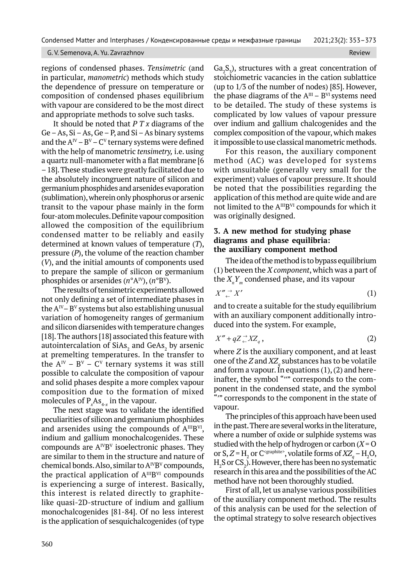regions of condensed phases. *Tensimetric* (and in particular, *manometric*) methods which study the dependence of pressure on temperature or composition of condensed phases equilibrium with vapour are considered to be the most direct and appropriate methods to solve such tasks.

It should be noted that *P T x* diagrams of the  $Ge - As$ ,  $Si - As$ ,  $Ge - P$ , and  $Si - As$  binary systems and the  $A^{IV} - B^{V} - C^{V}$  ternary systems were defined with the help of manometric *tensimetry,* i.e. using a quartz null-manometer with a flat membrane [6 – 18]. These studies were greatly facilitated due to the absolutely incongruent nature of silicon and germanium phosphides and arsenides evaporation (sublimation), wherein only phosphorus or arsenic transit to the vapour phase mainly in the form four-atom molecules. Definite vapour composition allowed the composition of the equilibrium condensed matter to be reliably and easily determined at known values of temperature (*T*), pressure (*P*), the volume of the reaction chamber (*V*), and the initial amounts of components used to prepare the sample of silicon or germanium phosphides or arsenides (*n*°AIV), (*n*°B<sup>V</sup>).

The results of tensimetric experiments allowed not only defining a set of intermediate phases in the  $A^{IV}-B^{V}$  systems but also establishing unusual variation of homogeneity ranges of germanium and silicon diarsenides with temperature changes [18]. The authors [18] associated this feature with autointercalation of SiAs $_2$  and GeAs $_2$  by arsenic at premelting temperatures. In the transfer to the  $A^{IV} - B^{V} - C^{V}$  ternary systems it was still possible to calculate the composition of vapour and solid phases despite a more complex vapour composition due to the formation of mixed molecules of  $P_{x}As_{4-x}$  in the vapour.

The next stage was to validate the identified peculiarities of silicon and germanium phosphides and arsenides using the compounds of  $A^{III}B^{VI}$ , indium and gallium monochalcogenides. These compounds are  $A^{IV}B^{V}$  isoelectronic phases. They are similar to them in the structure and nature of chemical bonds. Also, similar to  $A^{IV}B^{V}$  compounds, the practical application of  $A^{III}B^{VI}$  compounds is experiencing a surge of interest. Basically, this interest is related directly to graphitelike quasi-2D-structure of indium and gallium monochalcogenides [81-84]. Of no less interest is the application of sesquichalcogenides (of type  $Ga_2S_3$ ), structures with a great concentration of stoichiometric vacancies in the cation sublattice (up to 1/3 of the number of nodes) [85]. However, the phase diagrams of the  $A^{III}$  –  $B^{VI}$  systems need to be detailed. The study of these systems is complicated by low values of vapour pressure over indium and gallium chalcogenides and the complex composition of the vapour, which makes it impossible to use classical manometric methods.

For this reason, the auxiliary component method (AC) was developed for systems with unsuitable (generally very small for the experiment) values of vapour pressure. It should be noted that the possibilities regarding the application of this method are quite wide and are not limited to the A<sup>III</sup>B<sup>VI</sup> compounds for which it was originally designed.

### **3. A new method for studying phase diagrams and phase equilibria: the auxiliary component method**

The idea of the method is to bypass equilibrium (1) between the *X component*, which was a part of the  $X_{n}^{*}Y_{m}^{\prime}$  condensed phase, and its vapour

$$
X'' \underset{\leftarrow}{\xrightarrow{}} X'
$$
 (1)

and to create a suitable for the study equilibrium with an auxiliary component additionally introduced into the system. For example,

$$
X'' + qZ \rightleftharpoons XZ_q \,, \tag{2}
$$

where *Z* is the auxiliary component, and at least one of the *Z* and  $XZ_q$  substances has to be volatile and form a vapour. In equations  $(1)$ ,  $(2)$  and hereinafter, the symbol """ corresponds to the component in the condensed state, and the symbol "" corresponds to the component in the state of vapour.

The principles of this approach have been used in the past. There are several works in the literature, where a number of oxide or sulphide systems was studied with the help of hydrogen or carbon  $(X = 0)$ or S,  $Z = H_2$  or C<sup>-graphite</sup>, volatile forms of  $XZ_q - H_2O$ ,  $\mathrm{H}_2\mathrm{S}\, \mathrm{or}\, \mathrm{CS}_2$ ). However, there has been no systematic research in this area and the possibilities of the AC method have not been thoroughly studied.

First of all, let us analyse various possibilities of the auxiliary component method. The results of this analysis can be used for the selection of the optimal strategy to solve research objectives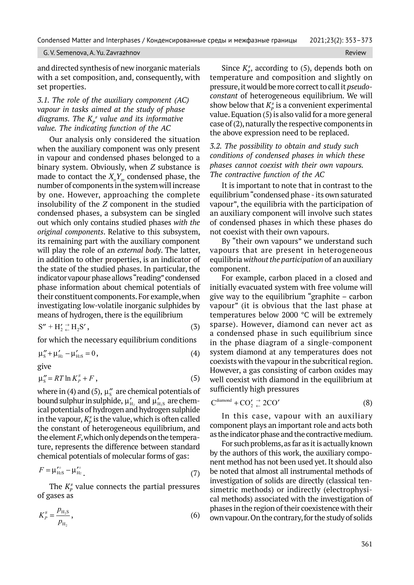and directed synthesis of new inorganic materials with a set composition, and, consequently, with set properties.

*3.1. The role of the auxiliary component (AC) vapour in tasks aimed at the study of phase*  diagrams. The  $K_p^*$  value and its informative *value. The indicating function of the AC*

Our analysis only considered the situation when the auxiliary component was only present in vapour and condensed phases belonged to a binary system. Obviously, when *Z* substance is made to contact the  $X_n Y_m$  condensed phase, the number of components in the system will increase by one. However, approaching the complete insolubility of the *Z* component in the studied condensed phases, a subsystem can be singled out which only contains studied phases *with the original components*. Relative to this subsystem, its remaining part with the auxiliary component will play the role of an *external body*. The latter, in addition to other properties, is an indicator of the state of the studied phases. In particular, the indicator vapour phase allows "reading" condensed phase information about chemical potentials of their constituent components. For example, when investigating low-volatile inorganic sulphides by means of hydrogen, there is the equilibrium

$$
S'' + H_2' \stackrel{\rightarrow}{\leftarrow} H_2S',\tag{3}
$$

for which the necessary equilibrium conditions

$$
\mu''_{s} + \mu'_{H2} - \mu'_{H2} = 0, \tag{4}
$$
 give

$$
\mu_s'' = RT \ln K_p^{\#} + F \,, \tag{5}
$$

where in (4) and (5),  $\mu_s^{\prime\prime}$  are chemical potentials of bound sulphur in sulphide,  $\mu'_{\rm H_2}$  and  $\mu'_{\rm H_2s}$  are chemical potentials of hydrogen and hydrogen sulphide in the vapour,  $K_p^\ast$  is the value, which is often called the constant of heterogeneous equilibrium, and the element *F*, which only depends on the temperature, represents the difference between standard chemical potentials of molecular forms of gas:

$$
F = \mu_{\text{H2}}^{\prime \circ} - \mu_{\text{H2}}^{\prime \circ} \tag{7}
$$

The  $K_p^*$  value connects the partial pressures of gases as

$$
K_P^* = \frac{p_{\rm H_2S}}{p_{\rm H_2}},\tag{6}
$$

Since  $K_p^*$ , according to (5), depends both on temperature and composition and slightly on pressure, it would be more correct to call it *pseudoconstant* of heterogeneous equilibrium. We will show below that  $K_p^*$  is a convenient experimental value. Equation (5) is also valid for a more general case of (2), naturally the respective components in the above expression need to be replaced.

*3.2. The possibility to obtain and study such conditions of condensed phases in which these phases cannot coexist with their own vapours. The contractive function of the AC*

It is important to note that in contrast to the equilibrium "condensed phase - its own saturated vapour", the equilibria with the participation of an auxiliary component will involve such states of condensed phases in which these phases do not coexist with their own vapours.

By "their own vapours" we understand such vapours that are present in heterogeneous equilibria *without the participation* of an auxiliary component.

For example, carbon placed in a closed and initially evacuated system with free volume will give way to the equilibrium "graphite – carbon vapour" (it is obvious that the last phase at temperatures below 2000 °C will be extremely sparse). However, diamond can never act as a condensed phase in such equilibrium since in the phase diagram of a single-component system diamond at any temperatures does not coexists with the vapour in the subcritical region. However, a gas consisting of carbon oxides may well coexist with diamond in the equilibrium at sufficiently high pressures

$$
C^{\text{diamond}} + \text{CO}_2' \stackrel{\rightarrow}{\leftarrow} 2\text{CO}' \tag{8}
$$

In this case, vapour with an auxiliary component plays an important role and acts both as the indicator phase and the contractive medium.

For such problems, as far as it is actually known by the authors of this work, the auxiliary component method has not been used yet. It should also be noted that almost all instrumental methods of investigation of solids are directly (classical tensimetric methods) or indirectly (electrophysical methods) associated with the investigation of phases in the region of their coexistence with their own vapour. On the contrary, for the study of solids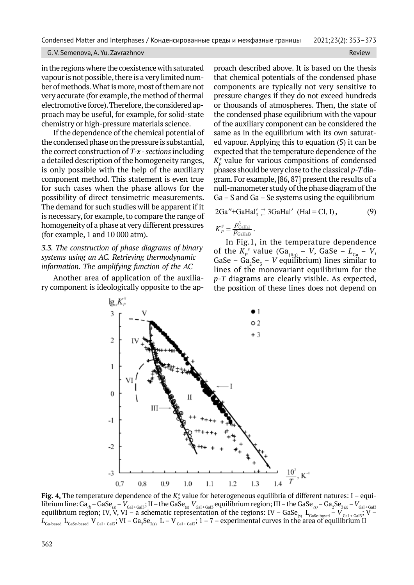in the regions where the coexistence with saturated vapour is not possible, there is a very limited number of methods. What is more, most of them are not very accurate (for example, the method of thermal electromotive force). Therefore, the considered approach may be useful, for example, for solid-state chemistry or high-pressure materials science.

If the dependence of the chemical potential of the condensed phase on the pressure is substantial, the correct construction of *T-x - sections* including a detailed description of the homogeneity ranges, is only possible with the help of the auxiliary component method. This statement is even true for such cases when the phase allows for the possibility of direct tensimetric measurements. The demand for such studies will be apparent if it is necessary, for example, to compare the range of homogeneity of a phase at very different pressures (for example, 1 and 10 000 atm).

*3.3. The construction of phase diagrams of binary systems using an AC. Retrieving thermodynamic information. The amplifying function of the AC*

Another area of application of the auxiliary component is ideologically opposite to the approach described above. It is based on the thesis that chemical potentials of the condensed phase components are typically not very sensitive to pressure changes if they do not exceed hundreds or thousands of atmospheres. Then, the state of the condensed phase equilibrium with the vapour of the auxiliary component can be considered the same as in the equilibrium with its own saturated vapour. Applying this to equation (5) it can be expected that the temperature dependence of the  $K_P^*$  value for various compositions of condensed phases should be very close to the classical *p-T* diagram. For example, [86, 87] present the results of a null-manometer study of the phase diagram of the  $Ga - S$  and  $Ga - Se$  systems using the equilibrium

$$
2Ga'' + GaHaI'_3 \stackrel{\rightarrow}{\leftarrow} 3GaHaI' \text{ (HaI = Cl, I),}
$$
 (9)  

$$
K_P^* = \frac{p_{\text{Galial}}^2}{p_{\text{Galial}}^2}.
$$

In Fig.1, in the temperature dependence of the  $K_p^*$  value (Ga<sub>(liq)</sub> – *V*, GaSe –  $L_{Ga}$  – *V*, GaSe –  $Ga_2Se_3$  – *V* equilibrium) lines similar to lines of the monovariant equilibrium for the *p-T* diagrams are clearly visible. As expected, the position of these lines does not depend on



**Fig. 4.** The temperature dependence of the  $K^*_p$  value for heterogeneous equilibria of different natures: I – equilibrium line: Ga<sub>(1)</sub> – GaSe<sub>(s)</sub> –  $V_{\rm Gal+Gal3}$ ; II – the GaSe<sub>(s)</sub>  $V_{\rm Gal+Gal3}$  equilibrium region; III – the GaSe<sub>(s)</sub> – Ga<sub>2</sub>Se<sub>3(s)</sub> –  $V_{\rm Gal+Gal3}$ equilibrium region; IV, V, VI – a schematic representation of the regions: IV – GaSe<sub>(s)</sub> L<sub>GaSe-based</sub> – V <sub>GaI+GaI3</sub>; V –  $L_{_{\rm Ga\text{-}based}}$   ${\rm L_{_{Ga\text{-}based}}$   ${\rm V_{_{Gal+GaI3}};VI-Ga_2Se_{_{\rm 3(5)}}}$   ${\rm L-V_{_{Gal+GaI3}};1-7- experimental curves}$  in the area of equilibrium II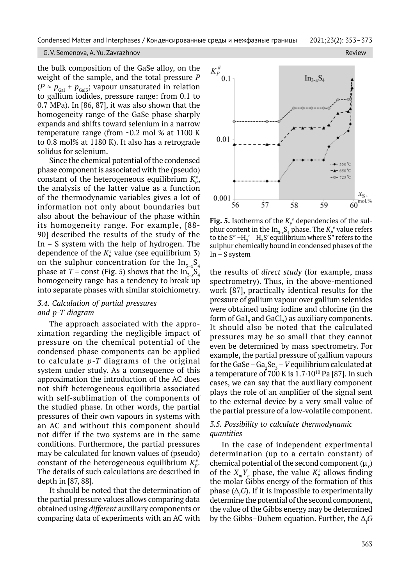the bulk composition of the GaSe alloy, on the weight of the sample, and the total pressure *P*  $(P ≥ p_{Gal} + p_{Gal3};$  vapour unsaturated in relation to gallium iodides, pressure range: from 0.1 to 0.7 MPa). In [86, 87], it was also shown that the homogeneity range of the GaSe phase sharply expands and shifts toward selenium in a narrow temperature range (from ~0.2 mol % at 1100 K to 0.8 mol% at 1180 K). It also has a retrograde solidus for selenium.

Since the chemical potential of the condensed phase component is associated with the (pseudo) constant of the heterogeneous equilibrium  $K^{\scriptscriptstyle\#}_{\scriptscriptstyle P}$ , the analysis of the latter value as a function of the thermodynamic variables gives a lot of information not only about boundaries but also about the behaviour of the phase within its homogeneity range. For example, [88- 90] described the results of the study of the In  $-$  S system with the help of hydrogen. The dependence of the  $K_p^*$  value (see equilibrium 3) on the sulphur concentration for the  $\mathrm{In}_{_{7-x}}\mathrm{S}_{_4}$ phase at  $T$  = const (Fig. 5) shows that the  $\text{In}_{_{\text{3-}x}}\text{S}_4$ homogeneity range has a tendency to break up into separate phases with similar stoichiometry.

# *3.4. Calculation of partial pressures and p-T diagram*

The approach associated with the approximation regarding the negligible impact of pressure on the chemical potential of the condensed phase components can be applied to calculate *p-T* diagrams of the original system under study. As a consequence of this approximation the introduction of the AC does not shift heterogeneous equilibria associated with self-sublimation of the components of the studied phase. In other words, the partial pressures of their own vapours in systems with an AC and without this component should not differ if the two systems are in the same conditions. Furthermore, the partial pressures may be calculated for known values of (pseudo) constant of the heterogeneous equilibrium  $K^{\scriptscriptstyle\#}_{\scriptscriptstyle P}$ . The details of such calculations are described in depth in [87, 88].

It should be noted that the determination of the partial pressure values allows comparing data obtained using *different* auxiliary components or comparing data of experiments with an AC with



**Fig. 5.** Isotherms of the  $K_p^*$  dependencies of the sulphur content in the  $\text{In}_{3-x} \text{S}_4$  phase. The  $K_p^*$  value refers to the S" + $H_2'$  =  $H_2S'$  equilibrium where S" refers to the sulphur chemically bound in condensed phases of the In – S system

the results of *direct study* (for example, mass spectrometry). Thus, in the above-mentioned work [87], practically identical results for the pressure of gallium vapour over gallium selenides were obtained using iodine and chlorine (in the form of GaI $_{\textrm{\tiny{3}}}$  and GaCl $_{\textrm{\tiny{3}}}$ ) as auxiliary components. It should also be noted that the calculated pressures may be so small that they cannot even be determined by mass spectrometry. For example, the partial pressure of gallium vapours for the GaSe –  $Ga_2Se_3$  –  $V$  equilibrium calculated at a temperature of  $700$  K is  $1.7 \cdot 10^{10}$  Pa [87]. In such cases, we can say that the auxiliary component plays the role of an amplifier of the signal sent to the external device by a very small value of the partial pressure of a low-volatile component.

## *3.5. Possibility to calculate thermodynamic quantities*

In the case of independent experimental determination (up to a certain constant) of chemical potential of the second component ( $\mu$ <sup>y</sup>) of the  $X_m Y_n$  phase, the value  $K_p^*$  allows finding the molar Gibbs energy of the formation of this phase ( $\Delta_{\text{f}} G$ ). If it is impossible to experimentally determine the potential of the second component, the value of the Gibbs energy may be determined by the Gibbs–Duhem equation. Further, the  $\Delta_{\text{f}} G$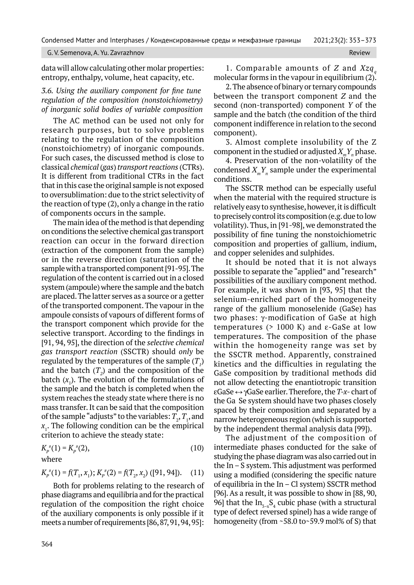### G. V. Semenova, A. Yu. Zavrazhnov Review

data will allow calculating other molar properties: entropy, enthalpy, volume, heat capacity, etc.

## *3.6. Using the auxiliary component for fine tune regulation of the composition (nonstoichiometry) of inorganic solid bodies of variable composition*

The AC method can be used not only for research purposes, but to solve problems relating to the regulation of the composition (nonstoichiometry) of inorganic compounds. For such cases, the discussed method is close to classical *chemical* (*gas*) *transport reactions* (CTRs). It is different from traditional CTRs in the fact that in this case the original sample is not exposed to oversublimation: due to the strict selectivity of the reaction of type (2), only a change in the ratio of components occurs in the sample.

The main idea of the method is that depending on conditions the selective chemical gas transport reaction can occur in the forward direction (extraction of the component from the sample) or in the reverse direction (saturation of the sample with a transported component [91-95]. The regulation of the content is carried out in a closed system (ampoule) where the sample and the batch are placed. The latter serves as a source or a getter of the transported component. The vapour in the ampoule consists of vapours of different forms of the transport component which provide for the selective transport. According to the findings in [91, 94, 95], the direction of the *selective chemical gas transport reaction* (SSCTR) should *only* be regulated by the temperatures of the sample  $(T_{\scriptscriptstyle I})$ and the batch  $(T_2)$  and the composition of the batch  $(x_1)$ . The evolution of the formulations of the sample and the batch is completed when the system reaches the steady state where there is no mass transfer. It can be said that the composition of the sample "adjusts" to the variables:  $T_{\scriptscriptstyle 2}$ ,  $T_{\scriptscriptstyle 1}$ , and *x*1 . The following condition can be the empirical criterion to achieve the steady state:

$$
K_p^{\mu}(1) = K_p^{\mu}(2),\tag{10}
$$

where

$$
K_p^*(1) = f(T_1, x_1); K_p^*(2) = f(T_2, x_2)
$$
 ([91, 94]). (11)

Both for problems relating to the research of phase diagrams and equilibria and for the practical regulation of the composition the right choice of the auxiliary components is only possible if it meets a number of requirements [86, 87, 91, 94, 95]:

1. Comparable amounts of *Z* and *Xzq*<sub>*c*</sub> molecular forms in the vapour in equilibrium (2).

2. The absence of binary or ternary compounds between the transport component *Z* and the second (non-transported) component *Y* of the sample and the batch (the condition of the third component indifference in relation to the second component).

3. Almost complete insolubility of the Z component in the studied or adjusted  $X_m Y_n$  phase.

4. Preservation of the non-volatility of the condensed  $X_m Y_n$  sample under the experimental conditions.

The SSCTR method can be especially useful when the material with the required structure is relatively easy to synthesise, however, it is difficult to precisely control its composition (e.g. due to low volatility). Thus, in [91-98], we demonstrated the possibility of fine tuning the nonstoichiometric composition and properties of gallium, indium, and copper selenides and sulphides.

It should be noted that it is not always possible to separate the "applied" and "research" possibilities of the auxiliary component method. For example, it was shown in [93, 95] that the selenium-enriched part of the homogeneity range of the gallium monoselenide (GaSe) has two phases:  $\gamma$ -modification of GaSe at high temperatures  $(> 1000)$  K) and  $\varepsilon$ -GaSe at low temperatures. The composition of the phase within the homogeneity range was set by the SSCTR method. Apparently, constrained kinetics and the difficulties in regulating the GaSe composition by traditional methods did not allow detecting the enantiotropic transition eGaSe ↔gGaSe earlier. Therefore,the *T-x-* chart of the Ga Se system should have two phases closely spaced by their composition and separated by a narrow heterogeneous region (which is supported by the independent thermal analysis data [99]).

The adjustment of the composition of intermediate phases conducted for the sake of studying the phase diagram was also carried out in the In – S system. This adjustment was performed using a modified (considering the specific nature of equilibria in the In – Cl system) SSCTR method [96]. As a result, it was possible to show in [88, 90, 96] that the  $In_{3-x}S_4$  cubic phase (with a structural type of defect reversed spinel) has a wide range of homogeneity (from ~58.0 to~59.9 mol% of S) that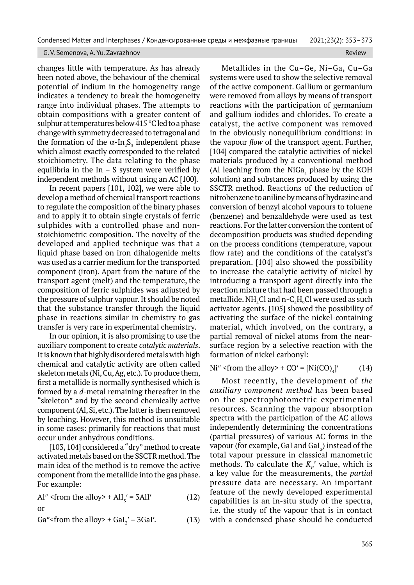changes little with temperature. As has already been noted above, the behaviour of the chemical potential of indium in the homogeneity range indicates a tendency to break the homogeneity range into individual phases. The attempts to obtain compositions with a greater content of sulphur at temperatures below 415 °C led to a phase change with symmetry decreased to tetragonal and the formation of the  $\alpha$ -In<sub>2</sub>S<sub>3</sub> independent phase which almost exactly corresponded to the related stoichiometry. The data relating to the phase equilibria in the In  $-$  S system were verified by independent methods without using an AC [100].

In recent papers [101, 102], we were able to develop a method of chemical transport reactions to regulate the composition of the binary phases and to apply it to obtain single crystals of ferric sulphides with a controlled phase and nonstoichiometric composition. The novelty of the developed and applied technique was that a liquid phase based on iron dihalogenide melts was used as a carrier medium for the transported component (iron). Apart from the nature of the transport agent (melt) and the temperature, the composition of ferric sulphides was adjusted by the pressure of sulphur vapour. It should be noted that the substance transfer through the liquid phase in reactions similar in chemistry to gas transfer is very rare in experimental chemistry.

In our opinion, it is also promising to use the auxiliary component to create *catalytic materials*. It is known that highly disordered metals with high chemical and catalytic activity are often called skeleton metals (Ni, Cu, Ag, etc.). To produce them, first a metallide is normally synthesised which is formed by a *d*-metal remaining thereafter in the "skeleton" and by the second chemically active component (Al, Si, etc.). The latter is then removed by leaching. However, this method is unsuitable in some cases: primarily for reactions that must occur under anhydrous conditions.

[103, 104] considered a "dry" method to create activated metals based on the SSCTR method. The main idea of the method is to remove the active component from the metallide into the gas phase. For example:

Al"  $\langle$  from the alloy  $> +$  AlI<sub>3</sub>' = 3AlI' (12) or

Ga"<from the alloy> + GaI<sub>3</sub>' = 3GaI'. (13)

Metallides in the Cu–Ge, Ni–Ga, Cu–Ga systems were used to show the selective removal of the active component. Gallium or germanium were removed from alloys by means of transport reactions with the participation of germanium and gallium iodides and chlorides. To create a catalyst, the active component was removed in the obviously nonequilibrium conditions: in the vapour *flow* of the transport agent. Further, [104] compared the catalytic activities of nickel materials produced by a conventional method (Al leaching from the  $NiGa_4$  phase by the KOH solution) and substances produced by using the SSCTR method. Reactions of the reduction of nitrobenzene to aniline by means of hydrazine and conversion of benzyl alcohol vapours to toluene (benzene) and benzaldehyde were used as test reactions. For the latter conversion the content of decomposition products was studied depending on the process conditions (temperature, vapour flow rate) and the conditions of the catalyst's preparation. [104] also showed the possibility to increase the catalytic activity of nickel by introducing a transport agent directly into the reaction mixture that had been passed through a metallide. NH $_{\rm 4}$ Cl and n-C $_{\rm 4}$ H $_{\rm 9}$ Cl were used as such activator agents. [105] showed the possibility of activating the surface of the nickel-containing material, which involved, on the contrary, a partial removal of nickel atoms from the nearsurface region by a selective reaction with the formation of nickel carbonyl:

Ni'' <from the alloy> +  $CO'$  =  $[Ni(CO)<sub>A</sub>]$ '  $(14)$ 

Most recently, the development of *the auxiliary component method* has been based on the spectrophotometric experimental resources. Scanning the vapour absorption spectra with the participation of the AC allows independently determining the concentrations (partial pressures) of various AC forms in the vapour (for example, GaI and GaI $_{\textrm{\scriptsize{s}}}$ ) instead of the total vapour pressure in classical manometric methods. To calculate the  $K_p^*$  value, which is a key value for the measurements, the *partial* pressure data are necessary. An important feature of the newly developed experimental capabilities is an in-situ study of the spectra, i.e. the study of the vapour that is in contact with a condensed phase should be conducted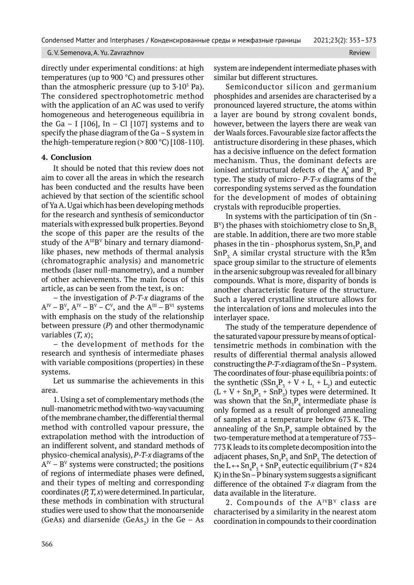directly under experimental conditions: at high temperatures (up to 900 °C) and pressures other than the atmospheric pressure (up to  $3.10<sup>5</sup>$  Pa). The considered spectrophotometric method with the application of an AC was used to verify homogeneous and heterogeneous equilibria in the Ga - I  $[106]$ , In - Cl  $[107]$  systems and to specify the phase diagram of the Ga – S system in the high-temperature region (> 800 °C) [108-110].

## **4. Conclusion**

It should be noted that this review does not aim to cover all the areas in which the research has been conducted and the results have been achieved by that section of the scientific school of Ya A. Ugai which has been developing methods for the research and synthesis of semiconductor materials with expressed bulk properties. Beyond the scope of this paper are the results of the study of the  $A^{III}B^{V}$  binary and ternary diamondlike phases, new methods of thermal analysis (chromatographic analysis) and manometric methods (laser null-manometry), and a number of other achievements. The main focus of this article, as can be seen from the text, is on:

– the investigation of *P-T-x* diagrams of the  $A^{IV} - B^{V}$ ,  $A^{IV} - B^{V} - C^{V}$ , and the  $A^{III} - B^{VI}$  systems with emphasis on the study of the relationship between pressure (*P*) and other thermodynamic variables (*T, x*);

– the development of methods for the research and synthesis of intermediate phases with variable compositions (properties) in these systems.

Let us summarise the achievements in this area.

1. Using a set of complementary methods (the null-manometric method with two-way vacuuming of the membrane chamber, the differential thermal method with controlled vapour pressure, the extrapolation method with the introduction of an indifferent solvent, and standard methods of physico-chemical analysis), *P-T-x* diagrams of the  $A^{IV}$  – B<sup>V</sup> systems were constructed; the positions of regions of intermediate phases were defined, and their types of melting and corresponding coordinates (*P, T, x*) were determined. In particular, these methods in combination with structural studies were used to show that the monoarsenide (GeAs) and diarsenide (GeAs<sub>2</sub>) in the Ge – As system are independent intermediate phases with similar but different structures.

Semiconductor silicon and germanium phosphides and arsenides are characterised by a pronounced layered structure, the atoms within a layer are bound by strong covalent bonds, however, between the layers there are weak van der Waals forces. Favourable size factor affects the antistructure disordering in these phases, which has a decisive influence on the defect formation mechanism. Thus, the dominant defects are ionised antistructural defects of the  $A'_B$  and  $B^\star_{\phantom{a}A}$ type. The study of micro- *P-T-x* diagrams of the corresponding systems served as the foundation for the development of modes of obtaining crystals with reproducible properties.

In systems with the participation of tin (Sn - B<sup>v</sup>) the phases with stoichiometry close to  $\mathrm{Sn}_4\mathrm{B}_3$ are stable. In addition, there are two more stable phases in the tin - phosphorus system,  $Sn_{3}P_{4}$  and  $SnP<sub>z</sub>$  A similar crystal structure with the R $\bar{3}m$ space group similar to the structure of elements in the arsenic subgroup was revealed for all binary compounds. What is more, disparity of bonds is another characteristic feature of the structure. Such a layered crystalline structure allows for the intercalation of ions and molecules into the interlayer space.

The study of the temperature dependence of the saturated vapour pressure by means of opticaltensimetric methods in combination with the results of differential thermal analysis allowed constructing the *P-T-x* diagram of the Sn – P system. The coordinates of four-phase equilibria points: of the synthetic  $(SSn_4P_3 + V + L_1 + L_2)$  and eutectic  $(L + V + Sn<sub>4</sub>P<sub>3</sub> + SnP<sub>3</sub>)$  types were determined. It was shown that the  $Sn_{3}P_{4}$  intermediate phase is only formed as a result of prolonged annealing of samples at a temperature below 673 K. The annealing of the  $Sn_{3}P_{4}$  sample obtained by the two-temperature method at a temperature of 753– 773 K leads to its complete decomposition into the adjacent phases,  $Sn_4P_3$  and  $SnP_3$ . The detection of the  $L \leftrightarrow Sn_4P_3 + SnP_3$  eutectic equilibrium (*T*  $\approx$  824 K) in the Sn – P binary system suggests a significant difference of the obtained *T-x* diagram from the data available in the literature.

2. Compounds of the  $A^{IV}B^{V}$  class are characterised by a similarity in the nearest atom coordination in compounds to their coordination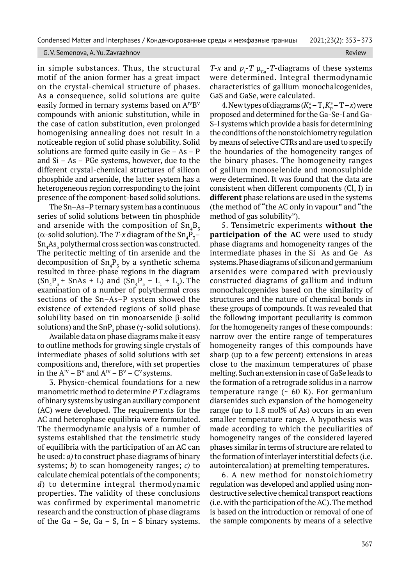in simple substances. Thus, the structural motif of the anion former has a great impact on the crystal-chemical structure of phases. As a consequence, solid solutions are quite easily formed in ternary systems based on  $A^{IV}B^{V}$ compounds with anionic substitution, while in the case of cation substitution, even prolonged homogenising annealing does not result in a noticeable region of solid phase solubility. Solid solutions are formed quite easily in  $Ge - As - P$ and Si – As – PGe systems, however, due to the different crystal-chemical structures of silicon phosphide and arsenide, the latter system has a heterogeneous region corresponding to the joint presence of the component-based solid solutions.

The Sn–As–P ternary system has a continuous series of solid solutions between tin phosphide and arsenide with the composition of  $\mathrm{Sn}_4\mathrm{B}_3$ ( $\alpha$ -solid solution). The *T*-*x* diagram of the Sn<sub>4</sub>P<sub>3</sub>–  $\mathrm{Sn}_{4}\mathrm{As}_{3}$  polythermal cross section was constructed. The peritectic melting of tin arsenide and the decomposition of  $Sn_4P_3$  by a synthetic schema resulted in three-phase regions in the diagram  $(Sn_4P_3 + SnAs + L)$  and  $(Sn_4P_3 + L_1 + L_2)$ . The examination of a number of polythermal cross sections of the Sn–As–P system showed the existence of extended regions of solid phase solubility based on tin monoarsenide  $\beta$ -solid solutions) and the SnP<sub>3</sub> phase ( $\gamma$ -solid solutions).

Available data on phase diagrams make it easy to outline methods for growing single crystals of intermediate phases of solid solutions with set compositions and, therefore, with set properties in the  $A^{IV}$  –  $B^{V}$  and  $A^{IV}$  –  $B^{V}$  –  $C^{V}$  systems.

3. Physico-chemical foundations for a new manometric method to determine *P T x* diagrams of binary systems by using an auxiliary component (AC) were developed. The requirements for the AC and heterophase equilibria were formulated. The thermodynamic analysis of a number of systems established that the tensimetric study of equilibria with the participation of an AC can be used: *a)* to construct phase diagrams of binary systems; *b*) to scan homogeneity ranges; *c)* to calculate chemical potentials of the components; *d*) to determine integral thermodynamic properties. The validity of these conclusions was confirmed by experimental manometric research and the construction of phase diagrams of the Ga – Se, Ga – S, In – S binary systems.

*T*-*x* and  $p_i$ -*T*  $\mu_{Ga}$ -*T*-diagrams of these systems were determined. Integral thermodynamic characteristics of gallium monochalcogenides, GaS and GaSe, were calculated.

4. New types of diagrams  $(K_p^*$  – T,  $K_p^*$  – T – *x*) were proposed and determined for the Ga-Se-I and Ga-S-I systems which provide a basis for determining the conditions of the nonstoichiometry regulation by means of selective CTRs and are used to specify the boundaries of the homogeneity ranges of the binary phases. The homogeneity ranges of gallium monoselenide and monosulphide were determined. It was found that the data are consistent when different components (Cl, I) in **different** phase relations are used in the systems (the method of "the AC only in vapour" and "the method of gas solubility").

5. Tensimetric experiments **without the participation of the AC** were used to study phase diagrams and homogeneity ranges of the intermediate phases in the Si As and Ge As systems. Phase diagrams of silicon and germanium arsenides were compared with previously constructed diagrams of gallium and indium monochalcogenides based on the similarity of structures and the nature of chemical bonds in these groups of compounds. It was revealed that the following important peculiarity is common for the homogeneity ranges of these compounds: narrow over the entire range of temperatures homogeneity ranges of this compounds have sharp (up to a few percent) extensions in areas close to the maximum temperatures of phase melting. Such an extension in case of GaSe leads to the formation of a retrograde solidus in a narrow temperature range  $($   $\sim$  60 K). For germanium diarsenides such expansion of the homogeneity range (up to 1.8 mol% of As) occurs in an even smaller temperature range. A hypothesis was made according to which the peculiarities of homogeneity ranges of the considered layered phases similar in terms of structure are related to the formation of interlayer interstitial defects (i.e. autointercalation) at premelting temperatures.

6. A new method for nonstoichiometry regulation was developed and applied using nondestructive selective chemical transport reactions (i.e. with the participation of the AC). The method is based on the introduction or removal of one of the sample components by means of a selective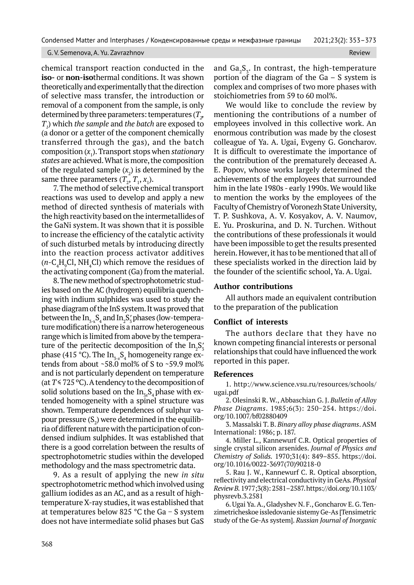chemical transport reaction conducted in the **iso-** or **non-iso**thermal conditions. It was shown theoretically and experimentally that the direction of selective mass transfer, the introduction or removal of a component from the sample, is only determined by three parameters: temperatures ( $T_{\mathit{p}}$ *T1* ) which *the sample* and *the batch* are exposed to (a donor or a getter of the component chemically transferred through the gas), and the batch composition (*x*<sup>1</sup> ). Transport stops when *stationary states* are achieved. What is more, the composition of the regulated sample  $(x_2)$  is determined by the same three parameters  $(T_2, T_1, x_1)$ .

7. The method of selective chemical transport reactions was used to develop and apply a new method of directed synthesis of materials with the high reactivity based on the intermetallides of the GaNi system. It was shown that it is possible to increase the efficiency of the catalytic activity of such disturbed metals by introducing directly into the reaction process activator additives  $(n - C_4H_9Cl, NH_4Cl)$  which remove the residues of the activating component (Ga) from the material.

8. The new method of spectrophotometric studies based on the AC (hydrogen) equilibria quenching with indium sulphides was used to study the phase diagram of the InS system. It was proved that between the In $_{\text{3-}x}\text{S}_4$  and In $_{\text{2}}\text{S}'_3$  phases (low-temperature modification) there is a narrow heterogeneous range which is limited from above by the temperature of the peritectic decomposition of the  $\text{In}_2\text{S}_3^\prime$ phase (415 °C). The In<sub>3-x</sub>S<sub>4</sub> homogeneity range extends from about  $\sim$  58.0 mol% of S to  $\sim$  59.9 mol% and is not particularly dependent on temperature (at  $T \le 725$  °C). A tendency to the decomposition of solid solutions based on the In<sub>3x</sub>S<sub>4</sub> phase with extended homogeneity with a spinel structure was shown. Temperature dependences of sulphur vapour pressure (S $_{2}$ ) were determined in the equilibria of different nature with the participation of condensed indium sulphides. It was established that there is a good correlation between the results of spectrophotometric studies within the developed methodology and the mass spectrometric data.

9. As a result of applying the new *in situ* spectrophotometric method which involved using gallium iodides as an AC, and as a result of hightemperature X-ray studies, it was established that at temperatures below 825 °C the Ga − S system does not have intermediate solid phases but GaS and  $Ga_2S_3$ . In contrast, the high-temperature portion of the diagram of the Ga – S system is complex and comprises of two more phases with stoichiometries from 59 to 60 mol%.

We would like to conclude the review by mentioning the contributions of a number of employees involved in this collective work. An enormous contribution was made by the closest colleague of Ya. A. Ugai, Evgeny G. Goncharov. It is difficult to overestimate the importance of the contribution of the prematurely deceased A. E. Popov, whose works largely determined the achievements of the employees that surrounded him in the late 1980s - early 1990s. We would like to mention the works by the employees of the Faculty of Chemistry of Voronezh State University, T. P. Sushkova, A. V. Kosyakov, A. V. Naumov, E. Yu. Proskurina, and D. N. Turchen. Without the contributions of these professionals it would have been impossible to get the results presented herein. However, it has to be mentioned that all of these specialists worked in the direction laid by the founder of the scientific school, Ya. A. Ugai.

### **Author contributions**

All authors made an equivalent contribution to the preparation of the publication

### **Conflict of interests**

The authors declare that they have no known competing financial interests or personal relationships that could have influenced the work reported in this paper.

### **References**

1. http://www.science.vsu.ru/resources/schools/ ugai.pdf

2. Olesinski R. W., Abbaschian G. J. *Bulletin of Alloy Phase Diagrams*. 1985;6(3): 250−254. https://doi. org/10.1007/bf02880409

3. Massalski T. B. *Binary alloy phase diagrams*. ASM International: 1986; p. 187.

4. Miller L., Kannewurf C.R. Optical properties of single crystal silicon arsenides. *Journal of Physics and Chemistry of Solids.* 1970;31(4): 849–855. https://doi. org/10.1016/0022-3697(70)90218-0

5. Rau J. W., Kannewurf C. R. Optical absorption, reflectivity and electrical conductivity in GeAs*. Physical Review B.* 1977;3(8): 2581–2587. https://doi.org/10.1103/ physrevb.3.2581

6. Ugai Ya. A., Gladyshev N. F., Goncharov E. G. Tenzimetricheskoe issledovanie sistemy Ge-As [Tensimetric study of the Ge-As system]. *Russian Journal of Inorganic*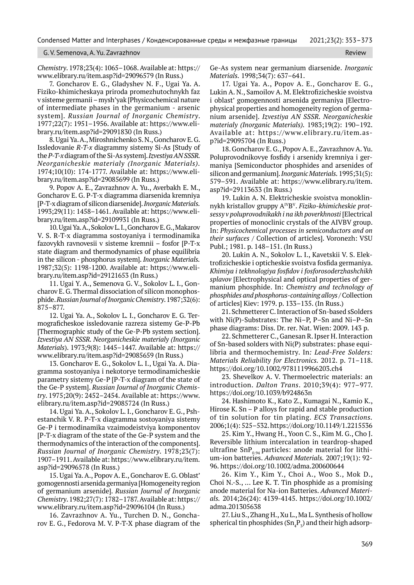### G. V. Semenova, A. Yu. Zavrazhnov Review Review Review Review Review Review Review Review Review

*Chemistry*. 1978;23(4): 1065–1068. Available at: https:// www.elibrary.ru/item.asp?id=29096579 (In Russ.)

7. Goncharov E. G., Gladyshev N. F., Ugai Ya. A. Fiziko-khimicheskaya priroda promezhutochnykh faz v sisteme germanii – mysh'yak [Physicochemical nature of intermediate phases in the germanium - arsenic system]. *Russian Journal of Inorganic Chemistry*. 1977;22(7): 1951–1956. Available at: https://www.elibrary.ru/item.asp?id=29091830 (In Russ.)

8. Ugai Ya. A., Miroshnichenko S. N., Goncharov E. G. Issledovanie *R-T-x* diagrammy sistemy Si-As [Study of the *P-T-x* diagram of the Si-As system]. *Izvestiya AN SSSR. Neorganicheskie materialy (Inorganic Materials).* 1974;10(10): 174-1777. Available at: https://www.elibrary.ru/item.asp?id=29085699 (In Russ.)

9. Popov A. E., Zavrazhnov A. Yu., Averbakh E. M., Goncharov E. G. P-T-x diagramma diarsenida kremniya [P-T-x diagram of silicon diarsenide]. *Inorganic Materials.* 1993;29(11): 1458–1461. Available at: https://www.elibrary.ru/item.asp?id=29109931 (In Russ.)

10. Ugai Ya. A., Sokolov L. I., Goncharov E. G., Makarov V. S. R-T-x diagramma sostoyaniya i termodinamika fazovykh ravnovesii v sisteme kremnii – fosfor [P-T-x state diagram and thermodynamics of phase equilibria in the silicon - phosphorus system]. *Inorganic Materials.* 1987;32(5): 1198-1200. Available at: https://www.elibrary.ru/item.asp?id=29121653 (In Russ.)

11. Ugai Y. A., Semenova G. V., Sokolov L. I., Goncharov E. G. Thermal dissociation of silicon monophosphide. *Russian Journal of Inorganic Chemistry*. 1987;32(6): 875–877.

12. Ugai Ya. A., Sokolov L. I., Goncharov E. G. Termograficheskoe issledovanie razreza sistemy Ge-P-Pb [Thermographic study of the Ge-P-Pb system section]. *Izvestiya AN SSSR. Neorganicheskie materialy (Inorganic Materials*). 1973;9(8): 1445–1447. Available at: https:// www.elibrary.ru/item.asp?id=29085659 (In Russ.)

13. Goncharov E. G., Sokolov L. I., Ugai Ya. A. Diagramma sostoyaniya i nekotorye termodinamicheskie parametry sistemy Ge-P [P-T-x diagram of the state of the Ge-P system]. *Russian Journal of Inorganic Chemistry*. 1975;20(9): 2452–2454. Available at: https://www. elibrary.ru/item.asp?id=29085724 (In Russ.)

14. Ugai Ya. A., Sokolov L. I., Goncharov E. G., Pshestanchik V. R. P-T-x diagramma sostoyaniya sistemy Ge-P i termodinamika vzaimodeistviya komponentov [P-T-x diagram of the state of the Ge-P system and the thermodynamics of the interaction of the components]. *Russian Journal of Inorganic Chemistry*. 1978;23(7): 1907–1911. Available at: https://www.elibrary.ru/item. asp?id=29096578 (In Russ.)

15. Ugai Ya. A., Popov A. E., Goncharov E. G. Oblast' gomogennosti arsenida germaniya [Homogeneity region of germanium arsenide]. *Russian Journal of Inorganic Chemistry*. 1982;27(7): 1782–1787. Available at: https:// www.elibrary.ru/item.asp?id=29096104 (In Russ.)

16. Zavrazhnov A. Yu., Turchen D. N., Goncharov E. G., Fedorova M. V. P-T-X phase diagram of the Ge-As system near germanium diarsenide. *Inorganic Materials.* 1998;34(7): 637–641.

17. Ugai Ya. A., Popov A. E., Goncharov E. G., Lukin A. N., Samoilov A. M. Elektrofizicheskie svoistva i oblast' gomogennosti arsenida germaniya [Electrophysical properties and homogeneity region of germanium arsenide]. *Izvestiya AN SSSR. Neorganicheskie materialy (Inorganic Materials).* 1983;19(2): 190–192. Available at: https://www.elibrary.ru/item.asp?id=29095704 (In Russ.)

18. Goncharov E. G., Popov A. E., Zavrazhnov A. Yu. Poluprovodnikovye fosfidy i arsenidy kremniya i germaniya [Semiconductor phosphides and arsenides of silicon and germanium]. *Inorganic Materials.* 1995;31(5): 579–591. Available at: https://www.elibrary.ru/item. asp?id=29113633 (In Russ.)

19. Lukin A. N. Elektricheskie svoistva monoklinnykh kristallov gruppy AIVBV. *Fiziko-khimicheskie protsessy v poluprovodnikakh i na ikh poverkhnosti* [Electrical properties of monoclinic crystals of the AIVBV group. In: *Physicochemical processes in semiconductors and on their surfaces /* Collection of articles]. Voronezh: VSU Publ.; 1981. p. 148–151. (In Russ.)

20. Lukin A. N., Sokolov L. I., Kavetskii V. S. Elektrofizicheskie i opticheskie svoistva fosfida germaniya. *Khimiya i tekhnologiya fosfidov i fosforosoderzhashchikh splavov* [Electrophysical and optical properties of germanium phosphide. In: *Chemistry and technology of phosphides and phosphorus-containing alloys* / Collection of articles] Kiev: 1979. p. 133–135. (In Russ.)

21. Schmetterer C. Interaction of Sn-based sSolders with Ni(P)-Substrates: The Ni–P, P–Sn and Ni–P–Sn phase diagrams: Diss. Dr. rer. Nat. Wien: 2009. 143 p.

22. Schmetterer C., Ganesan R. Ipser H. Interaction of Sn-based solders with Ni(P) substrates: phase equilibria and thermochemistry. In*: Lead-Free Solders: Materials Reliability for Electronics.* 2012. p. 71–118. https://doi.org/10.1002/9781119966203.ch4

23. Shevelkov A. V. Thermoelectric materials: an introduction. *Dalton Trans*. 2010;39(4): 977–977. https://doi.org/10.1039/b924863n

24. Hashimoto K., Kato Z., Kumagai N., Kamio K., Hirose K. Sn – P alloys for rapid and stable production of tin solution for tin plating. *ECS Transactions.* 2006;1(4): 525–532. https://doi.org/10.1149/1.2215536

25. Kim Y., Hwang H., Yoon C. S., Kim M. G., Cho J. Reversible lithium intercalation in teardrop-shaped ultrafine  $SnP_{0.94}$  particles: anode material for lithium-ion batteries. *Advanced Materials.* 2007;19(1): 92- 96. https://doi.org/10.1002/adma.200600644

26. Kim Y., Kim Y., Choi A., Woo S., Mok D., Choi N.‑S., … Lee K. T. Tin phosphide as a promising anode material for Na-ion Batteries. *Advanced Materials.* 2014;26(24): 4139-4145. https://doi.org/10.1002/ adma.201305638

27. Liu S., Zhang H., Xu L., Ma L. Synthesis of hollow spherical tin phosphides  $(Sn_4P_3)$  and their high adsorp-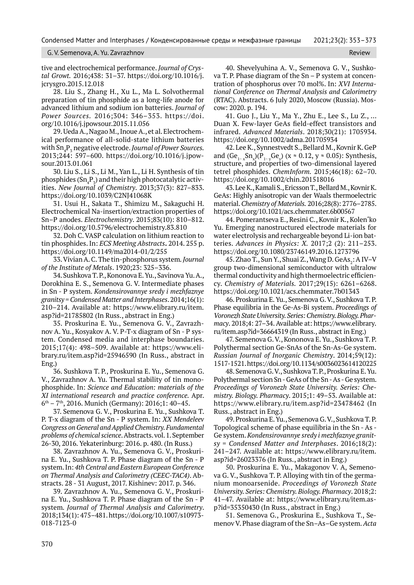G. V. Semenova, A. Yu. Zavrazhnov Review Review Review Review Review Review Review Review Review Review Review

tive and electrochemical performance. *Journal of Crystal Growt.* 2016;438: 31–37. https://doi.org/10.1016/j. jcrysgro.2015.12.018

28. Liu S., Zhang H., Xu L., Ma L. Solvothermal preparation of tin phosphide as a long-life anode for advanced lithium and sodium ion batteries. *Journal of Power Sources.* 2016;304: 346–353. https://doi. org/10.1016/j.jpowsour.2015.11.056

29. Ueda A., Nagao M., Inoue A., et al. Electrochemical performance of all-solid-state lithium batteries with Sn4 P3 negative electrode. *Journal of Power Sources.*  2013;244: 597–600. https://doi.org/10.1016/j.jpowsour.2013.01.061

30. Liu S., Li S., Li M., Yan L., Li H. Synthesis of tin phosphides  $(\mathrm{Sn}_{4}\mathrm{P}_{\frac{1}{3}})$  and their high photocatalytic activities. *New Journal of Chemistry*. 2013;37(3): 827–833. https://doi.org/10.1039/C2NJ41068K

31. Usui H., Sakata T., Shimizu M., Sakaguchi H. Electrochemical Na-insertion/extraction properties of Sn–P anodes. *Electrochemistry*. 2015;83(10): 810–812. https://doi.org/10.5796/electrochemistry.83.810

32. Doh C. VASP calculation on lithium reaction to tin phosphides. In: *ECS Meeting Abstracts***.** 2014. 255 p. https://doi.org/10.1149/ma2014-01/2/255

33. Vivian A. C. The tin-рhosphorus system*. Journal of the Institute of Metals*. 1920;23: 325–336.

34. Sushkova T. P., Kononova E. Yu., Savinova Yu. A., Dorokhina E. S., Semenova G. V. Intermediate phases in Sn - P system. *Kondensirovannye sredy i mezhfaznye granitsy* = *Condensed Matter and Interphases*. 2014;16(1): 210–214. Available at: https://www.elibrary.ru/item. asp?id=21785802 (In Russ., abstract in Eng.)

35. Proskurina E. Yu., Semenova G. V., Zavrazhnov A. Yu., Kosyakov A. V. P-T-x diagram of Sn - P system. Condensed media and interphase boundaries. 2015;17(4): 498–509. Available at: https://www.elibrary.ru/item.asp?id=25946590 (In Russ., abstract in Eng.)

36. Sushkova T. P., Proskurina E. Yu., Semenova G. V., Zavrazhnov A. Yu. Thermal stability of tin monophosphide. In: *Science and Education: materials of the XI international research and practice conference.* Apr.  $6<sup>th</sup> - 7<sup>th</sup>$ , 2016. Munich (Germany): 2016;1: 40-45.

37. Semenova G. V., Proskurina E. Yu., Sushkova T. P. T-x diagram of the Sn - P system. In: *XX Mendeleev Congress on General and Applied Chemistry. Fundamental problems of chemical science*. Abstracts. vol. 1. September 26-30, 2016. Yekaterinburg: 2016. p. 480. (In Russ.)

38. Zavrazhnov A. Yu., Semenova G. V., Proskurina E. Yu., Sushkova T. P. Phase diagram of the Sn - P system. In: *4th Central and Eastern European Conference on Thermal Analysis and Calorimetry (CEEC-TAC4)*. Abstracts. 28 - 31 August, 2017. Kishinev: 2017. p. 346.

39. Zavrazhnov A. Yu., Semenova G. V., Proskurina E. Yu., Sushkova T. P. Phase diagram of the Sn - P system*. Journal of Thermal Analysis and Calorimetry*. 2018;134(1): 475–481. https://doi.org/10.1007/s10973- 018-7123-0

40. Shevelyuhina A. V., Semenova G. V., Sushkova T. P. Phase diagram of the Sn – P system at concentration of phosphorus over 70 mol%. In: *XVI International Conference on Thermal Analysis and Calorimetry*  (RTAC). Abstracts. 6 July 2020, Moscow (Russia). Moscow: 2020. p. 194.

41. Guo J., Liu Y., Ma Y., Zhu E., Lee S., Lu Z., … Duan X. Few-layer GeAs field-effect transistors and infrared. *Advanced Materials*. 2018;30(21): 1705934. https://doi.org/10.1002/adma.201705934

42. Lee K., Synnestvedt S., Bellard M., Kovnir K. GeP and (Ge<sub>1−x</sub>Sn<sub>x</sub>)(P<sub>1−y</sub>Ge<sub>y</sub>) (x ≈ 0.12, y ≈ 0.05): Synthesis, structure, and properties of two-dimensional layered tetrel phosphides. *ChemInform.* 2015;46(18): 62–70. https://doi.org/10.1002/chin.201518016

43. Lee K., Kamali S., Ericsson T., Bellard M., Kovnir K. GeAs: Highly anisotropic van der Waals thermoelectric material. *Chemistry of Materials.* 2016;28(8): 2776–2785. https://doi.org/10.1021/acs.chemmater.6b00567

44. Pomerantseva E., Resini C., Kovnir K., Kolen'ko Yu. Emerging nanostructured electrode materials for water electrolysis and rechargeable beyond Li-ion batteries. *Advances in Physics: X.* 2017;2 (2): 211–253. https://doi.org/10.1080/23746149.2016.1273796

45. Zhao T., Sun Y., Shuai Z., Wang D. GeAs<sub>2</sub>: A IV-V group two-dimensional semiconductor with ultralow thermal conductivity and high thermoelectric efficiency. *Chemistry of Materials.* 2017;29(15): 6261–6268. https://doi.org/10.1021/acs.chemmater.7b01343

46. Proskurina E. Yu., Semenova G. V., Sushkova T. P. Phase equilibria in the Ge-As-Bi system. *Proceedings of Voronezh State University. Series: Chemistry. Biology. Pharmacy*. 2018;4: 27–34. Available at: https://www.elibrary. ru/item.asp?id=36664319 (In Russ., abstract in Eng.)

47. Semenova G. V., Kononova E. Yu., Sushkova T. P. Polythermal section Ge-SnAs of the Sn-As-Ge system. *Russian Journal of Inorganic Chemistry*. 2014;59(12): 1517-1521. https://doi.org/10.1134/s0036023614120225

48. Semenova G. V., Sushkova T. P., Proskurina E. Yu. Polythermal section Sn - GeAs of the Sn - As - Ge system. *Proceedings of Voronezh State University. Series: Chemistry. Biology. Pharmacy*. 2015;1: 49–53. Available at: https://www.elibrary.ru/item.asp?id=23478462 (In Russ., abstract in Eng.)

49. Proskurina E. Yu., Semenova G. V., Sushkova T. P. Topological scheme of phase equilibria in the Sn - As - Ge system. *Kondensirovannye sredy i mezhfaznye granitsy* = *Condensed Matter and Interphases*. 2016;18(2): 241–247. Available at: https://www.elibrary.ru/item. asp?id=26023376 (In Russ., abstract in Eng.)

50. Proskurina E. Yu., Makagonov V. A, Semenova G. V., Sushkova T. P. Alloying with tin of the germanium monoarsenide. *Proceedings of Voronezh State University. Series: Chemistry. Biology. Pharmacy*. 2018;2: 41–47. Available at: https://www.elibrary.ru/item.asp?id=35350430 (In Russ., abstract in Eng.)

51. Semenova G., Proskurina E., Sushkova T., Semenov V. Phase diagram of the Sn–As–Ge system. *Acta*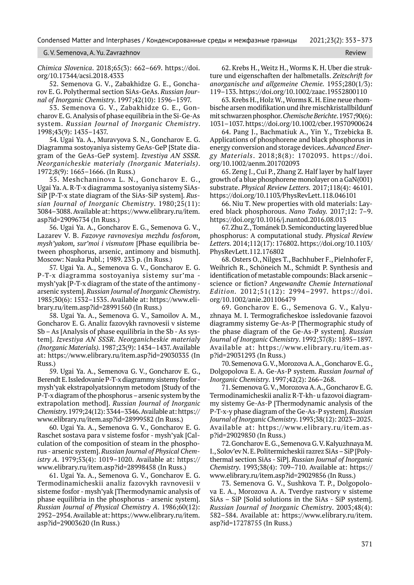### G. V. Semenova, A. Yu. Zavrazhnov Review Review Review Review Review Review Review Review Review

*Chimica Slovenica*. 2018;65(3): 662–669. https://doi. org/10.17344/acsi.2018.4333

52. Semenova G. V., Zabakhidze G. E., Goncharov E. G. Polythermal section SiAs-GeAs. *Russian Journal of Inorganic Chemistry*. 1997;42(10): 1596–1597.

53. Semenova G. V., Zabakhidze G. E., Goncharov E. G. Analysis of phase equilibria in the Si-Ge-As system. *Russian Journal of Inorganic Chemistry*. 1998;43(9): 1435–1437.

54. Ugai Ya. A., Muravyova S. N., Goncharov E. G. Diagramma sostoyaniya sistemy GeAs-GeP [State diagram of the GeAs-GeP system]. *Izvestiya AN SSSR. Neorganicheskie materialy (Inorganic Materials)*. 1972;8(9): 1665–1666. (In Russ.)

55. Meshchaninova L. N., Goncharov E. G., Ugai Ya. A. R-T-x diagramma sostoyaniya sistemy SiAs-SiP [P-T-x state diagram of the SiAs-SiP system]. *Russian Journal of Inorganic Chemistry*. 1980;25(11): 3084–3088. Available at: https://www.elibrary.ru/item. asp?id=29096734 (In Russ.)

56. Ugai Ya. A., Goncharov E. G., Semenova G. V., Lazarev V. B. *Fazovye ravnovesiya mezhdu fosforom, mysh'yakom, sur'moi i vismutom* [Phase equilibria between phosphorus, arsenic, antimony and bismuth]. Moscow: Nauka Publ.; 1989. 233 p. (In Russ.)

57. Ugai Ya. A., Semenova G. V., Goncharov E. G. P-T-x diagramma sostoyaniya sistemy sur'ma mysh'yak [P-T-x diagram of the state of the antimony arsenic system]. *Russian Journal of Inorganic Chemistry*. 1985;30(6): 1532–1535. Available at: https://www.elibrary.ru/item.asp?id=28991560 (In Russ.)

58. Ugai Ya. A., Semenova G. V., Samoilov A. M., Goncharov E. G. Analiz fazovykh ravnovesii v sisteme Sb – As [Analysis of phase equilibria in the Sb - As system]. *Izvestiya AN SSSR. Neorganicheskie materialy (Inorganic Materials).* 1987;23(9): 1434–1437. Available at: https://www.elibrary.ru/item.asp?id=29030335 (In Russ.)

59. Ugai Ya. A., Semenova G. V., Goncharov E. G., Berendt E. Issledovanie P-T-x diagrammy sistemy fosfor mysh'yak ekstrapolyatsionnym metodom [Study of the P-T-x diagram of the phosphorus – arsenic system by the extrapolation method]. *Russian Journal of Inorganic Chemistry*. 1979;24(12): 3344–3346. Available at: https:// www.elibrary.ru/item.asp?id=28999582 (In Russ.)

60. Ugai Ya. A., Semenova G. V., Goncharov E. G. Raschet sostava para v sisteme fosfor - mysh'yak [Calculation of the composition of steam in the phosphorus - arsenic system]. *Russian Journal of Physical Chemistry A*. 1979;53(4): 1019–1020. Available at: https:// www.elibrary.ru/item.asp?id=28998458 (In Russ.)

61. Ugai Ya. A., Semenova G. V., Goncharov E. G. Termodinamicheskii analiz fazovykh ravnovesii v sisteme fosfor - mysh'yak [Thermodynamic analysis of phase equilibria in the phosphorus - arsenic system]. *Russian Journal of Physical Chemistry A*. 1986;60(12): 2952–2954. Available at: https://www.elibrary.ru/item. asp?id=29003620 (In Russ.)

62. Krebs H., Weitz H., Worms K. H. Uber die strukture und eigenschaften der halbmetalls. *Zeitschrift for anorganische und allgemeine Chemie.* 1955;280(1/3): 119–133. https://doi.org/10.1002/zaac.19552800110

63. Krebs H., Holz W., Worms K. H. Eine neue rhombische arsen modifikation und ihre mischkristallbildunf mit schwarzen phosphor. *Chemische Berichte*. 1957;90(6): 1031–1037. https://doi.org/10.1002/cber.19570900624

64. Pang J., Bachmatiuk A., Yin Y., Trzebicka B. Applications of phosphorene and black phosphorus in energy conversion and storage devices. *Advanced Energy Materials*. 2018;8(8): 1702093. https://doi. org/10.1002/aenm.201702093

65. Zeng J., Cui P., Zhang Z. Half layer by half layer growth of a blue phosphorene monolayer on a GaN(001) substrate. *Physical Review Letters.* 2017;118(4): 46101. https://doi.org/10.1103/PhysRevLett.118.046101

66. Niu T. New properties with old materials: Layered black phosphorous. *Nano Today.* 2017;12: 7–9. https://doi.org/10.1016/j.nantod.2016.08.013

67. Zhu Z., Tománek D. Semiconducting layered blue phosphorus: A computational study. *Physical Review Letters.* 2014;112(17): 176802. https://doi.org/10.1103/ PhysRevLett.112.176802

68. Osters O., Nilges Т., Bachhuber F., Pielnhofer F, Weihrich R., Schöneich M., Schmidt P. Synthesis and identification of metastable compounds: Black arsenic – science or fiction? *Angewandte Chemie International Edition.* 2012;51(12): 2994–2997. https://doi. org/10.1002/anie.201106479

69. Goncharov E. G., Semenova G. V., Kalyuzhnaya M. I. Termograficheskoe issledovanie fazovoi diagrammy sistemy Ge-As-P [Thermographic study of the phase diagram of the Ge-As-P system]. *Russian Journal of Inorganic Chemistry*. 1992;37(8): 1895–1897. Available at: https://www.elibrary.ru/item.asp?id=29031293 (In Russ.)

70. Semenova G. V., Morozova A. A., Goncharov E. G., Dolgopolova E. A. Ge-As-P system. *Russian Journal of Inorganic Chemistry*. 1997;42(2): 266–268.

71. Semenova G. V., Morozova A. A., Goncharov E. G. Termodinamicheskii analiz R-T-kh- u fazovoi diagrammy sistemy Ge-As-P [Thermodynamic analysis of the P-T-x-y phase diagram of the Ge-As-P system]. *Russian Journal of Inorganic Chemistry*. 1993;38(12): 2023–2025. Available at: https://www.elibrary.ru/item.asp?id=29029850 (In Russ.)

72. Goncharov E. G., Semenova G. V. Kalyuzhnaya M. I., Solov'ev N. E. Politermicheskii razrez SiAs – SiP [Polythermal section SiAs - SiP]. *Russian Journal of Inorganic Chemistry*. 1993;38(4): 709–710. Available at: https:// www.elibrary.ru/item.asp?id=29029856 (In Russ.)

73. Semenova G. V., Sushkova T. P., Dolgopolova E. A., Morozova A. A. Tverdye rastvory v sisteme SiAs – SiP [Solid solutions in the SiAs - SiP system]. *Russian Journal of Inorganic Chemistry*. 2003;48(4): 582–584. Available at: https://www.elibrary.ru/item. asp?id=17278755 (In Russ.)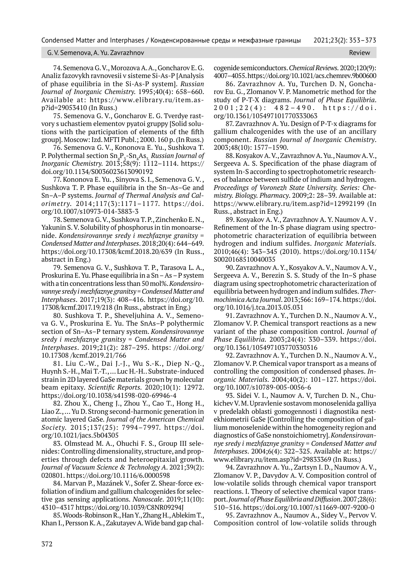#### G. V. Semenova, A. Yu. Zavrazhnov Review

74. Semenova G. V., Morozova A. A., Goncharov E. G. Analiz fazovykh ravnovesii v sisteme Si-As-P [Analysis of phase equilibria in the Si-As-P system]. *Russian Journal of Inorganic Chemistry.* 1995;40(4): 658–660. Available at: https://www.elibrary.ru/item.asp?id=29053410 (In Russ.)

75. Semenova G. V., Goncharov E. G. Tverdye rastvory s uchastiem elementov pyatoi gruppy [Solid solutions with the participation of elements of the fifth group]. Moscow: Izd. MFTI Publ.; 2000. 160 p. (In Russ.)

76. Semenova G. V., Kononova E. Yu., Sushkova T. P. Polythermal section Sn<sub>4</sub>P<sub>3</sub>-Sn<sub>4</sub>As<sub>3.</sub> *Russian Journal of Inorganic Chemistry.* 2013;58(9): 1112–1114. https:// doi.org/10.1134/S0036023613090192

77. Kononova E. Yu. , Sinyova S. I., Semenova G. V. , Sushkova T. P. Phase equilibria in the Sn–As–Ge and Sn–A–P systems. *Journal of Thermal Analysis and Calorimetry.* 2014;117(3):1171–1177. https://doi. org/10.1007/s10973-014-3883-3

78. Semenova G. V., Sushkova T. P., Zinchenko E. N., Yakunin S. V. Solubility of phosphorus in tin monoarsenide. *Kondensirovannye sredy i mezhfaznye granitsy* = *Condensed Matter and Interphases*. 2018;20(4): 644–649. https://doi.org/10.17308/kcmf.2018.20/639 (In Russ., abstract in Eng.)

79. Semenova G. V., Sushkova T. P., Tarasova L. A., Proskurina E. Yu. Phase equilibria in a Sn – As – P system with a tin concentrations less than 50 mol%. *Kondensirovannye sredy i mezhfaznye granitsy* = *Condensed Matter and Interphases*. 2017;19(3): 408–416. https://doi.org/10. 17308/kcmf.2017.19/218 (In Russ., abstract in Eng.)

80. Sushkova T. P., Sheveljuhina A. V., Semenova G. V., Proskurina E. Yu. The SnAs–P polythermic section of Sn–As–P ternary system. *Kondensirovannye sredy i mezhfaznye granitsy* = *Condensed Matter and Interphases*. 2019;21(2): 287–295. https: //doi.org/ 10.17308 /kcmf.2019.21/766

81. Liu C.-W., Dai J.-J., Wu S.-K., Diep N.-Q., Huynh S.-H., Mai T.-T., … Luc H.-H.. Substrate-induced strain in 2D layered GaSe materials grown by molecular beam epitaxy. *Scientific Reports.* 2020;10(1): 12972. https://doi.org/10.1038/s41598-020-69946-4

82. Zhou X., Cheng J., Zhou Y., Cao T., Hong H., Liao Z., … Yu D. Strong second-harmonic generation in atomic layered GaSe*. Journal of the American Chemical Society.* 2015;137(25): 7994–7997. https://doi. org/10.1021/jacs.5b04305

83. Olmstead M. A., Ohuchi F. S., Group III selenides: Controlling dimensionality, structure, and properties through defects and heteroepitaxial growth. *Journal of Vacuum Science & Technology A*. 2021;39(2): 020801. https://doi.org/10.1116/6.0000598

84. Marvan P., Mazánek V., Sofer Z. Shear-force exfoliation of indium and gallium chalcogenides for selective gas sensing applications. *Nanoscale*. 2019;11(10): 4310–4317 https://doi.org/10.1039/C8NR09294J

85. Woods-Robinson R., Han Y., Zhang H., Ablekim T., Khan I., Persson K. A., Zakutayev A. Wide band gap chalcogenide semiconductors. *Chemical Reviews.* 2020;120(9): 4007–4055. https://doi.org/10.1021/acs.chemrev.9b00600

86. Zavrazhnov A. Yu, Turchen D. N, Goncharov Eu. G., Zlomanov V. P. Manometric method for the study of P-T-X diagrams. *Journal of Phase Equilibria*. 2001;22(4): 482–490. https://doi. org/10.1361/105497101770333063

87. Zavrazhnov A. Yu. Design of P-T-x diagrams for gallium chalcogenides with the use of an ancillary component. *Russian Journal of Inorganic Chemistry*. 2003;48(10): 1577–1590.

88. Kosyakov A. V., Zavrazhnov A. Yu., Naumov A. V., Sergeeva A. S. Specification of the phase diagram of system In-S according to spectrophotometric researches of balance between sulfide of indium and hydrogen. *Proceedings of Voronezh State University. Series: Chemistry. Biology. Pharmacy*. 2009;2: 28–39. Available at: https://www.elibrary.ru/item.asp?id=12992199 (In Russ., abstract in Eng.)

89. Kosyakov A. V., Zavrazhnov A. Y. Naumov A. V . Refinement of the In-S phase diagram using spectrophotometric characterization of equilibria between hydrogen and indium sulfides. *Inorganic Materials.* 2010;46(4): 343–345 (2010). https://doi.org/10.1134/ S0020168510040035

90. Zavrazhnov A. Y., Kosyakov A. V., Naumov A. V., Sergeeva A. V., Berezin S. S. Study of the In–S phase diagram using spectrophotometric characterization of equilibria between hydrogen and indium sulfides. *Thermochimica Acta Journal*. 2013;566: 169–174. https://doi. org/10.1016/j.tca.2013.05.031

91. Zavrazhnov A. Y., Turchen D. N., Naumov A. V., Zlomanov V. P. Chemical transport reactions as a new variant of the phase composition control. *Journal of Phase Equilibria.* 2003;24(4): 330–339. https://doi. org/10.1361/105497103770330316

92. Zavrazhnov A. Y., Turchen D. N., Naumov A. V., Zlomanov V. P. Chemical vapor transport as a means of controlling the composition of condensed phases. *Inorganic Materials.* 2004;40(2): 101–127. https://doi. org/10.1007/s10789-005-0056-6

93. Sidei V. I., Naumov A. V, Turchen D. N., Chukichev V. M. Upravlenie sostavom monoselenida galliya v predelakh oblasti gomogennosti i diagnostika nestekhiometrii GaSe [Controlling the composition of gallium monoselenide within the homogeneity region and diagnostics of GaSe nonstoichiometry]. *Kondensirovannye sredy i mezhfaznye granitsy* = *Condensed Matter and Interphases*. 2004;6(4): 322–325. Available at: https:// www.elibrary.ru/item.asp?id=29833369 (In Russ.)

94. Zavrazhnov A. Yu., Zartsyn I. D., Naumov A. V., Zlomanov V. P., Davydov A. V. Composition control of low-volatile solids through chemical vapor transport reactions. I. Theory of selective chemical vapor transport. *Journal of Phase Equilibria and Diffusion*. 2007;28(6): 510–516. https://doi.org/10.1007/s11669-007-9200-0

95. Zavrazhnov A., Naumov A., Sidey V., Pervov V. Composition control of low-volatile solids through